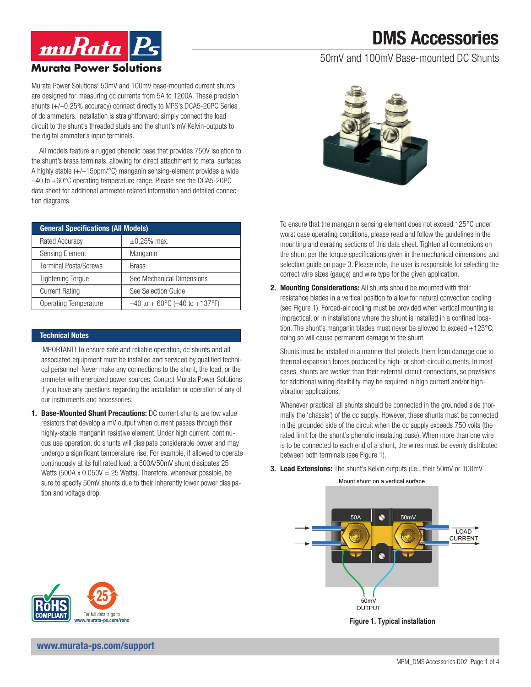# DMS Accessories

### 50mV and 100mV Base-mounted DC Shunts



Murata Power Solutions' 50mV and 100mV base-mounted current shunts are designed for measuring dc currents from 5A to 1200A. These precision shunts (+/–0.25% accuracy) connect directly to MPS's DCA5-20PC Series of dc ammeters. Installation is straightforward: simply connect the load circuit to the shunt's threaded studs and the shunt's mV Kelvin-outputs to the digital ammeter's input terminals.

All models feature a rugged phenolic base that provides 750V isolation to the shunt's brass terminals, allowing for direct attachment to metal surfaces. A highly stable (+/–15ppm/°C) manganin sensing-element provides a wide –40 to +60°C operating temperature range. Please see the DCA5-20PC data sheet for additional ammeter-related information and detailed connection diagrams.

| <b>General Specifications (All Models)</b> |                                                       |  |  |
|--------------------------------------------|-------------------------------------------------------|--|--|
| <b>Rated Accuracy</b>                      | $\pm 0.25\%$ max.                                     |  |  |
| <b>Sensing Element</b>                     | Manganin                                              |  |  |
| <b>Terminal Posts/Screws</b>               | <b>Brass</b>                                          |  |  |
| <b>Tightening Torque</b>                   | See Mechanical Dimensions                             |  |  |
| <b>Current Rating</b>                      | See Selection Guide                                   |  |  |
| Operating Temperature                      | $-40$ to $+60^{\circ}$ C ( $-40$ to $+137^{\circ}$ F) |  |  |

### Technical Notes

IMPORTANT! To ensure safe and reliable operation, dc shunts and all associated equipment must be installed and serviced by qualified technical personnel. Never make any connections to the shunt, the load, or the ammeter with energized power sources. Contact Murata Power Solutions if you have any questions regarding the installation or operation of any of our instruments and accessories.

1. Base-Mounted Shunt Precautions: DC current shunts are low value resistors that develop a mV output when current passes through their highly-stable manganin resistive element. Under high current, continuous use operation, dc shunts will dissipate considerable power and may undergo a significant temperature rise. For example, if allowed to operate continuously at its full rated load, a 500A/50mV shunt dissipates 25 Watts (500A x  $0.050V = 25$  Watts). Therefore, whenever possible, be sure to specify 50mV shunts due to their inherently lower power dissipation and voltage drop.



To ensure that the manganin sensing element does not exceed 125°C under worst case operating conditions, please read and follow the guidelines in the mounting and derating sections of this data sheet. Tighten all connections on the shunt per the torque specifications given in the mechanical dimensions and selection guide on page 3. Please note, the user is responsible for selecting the correct wire sizes (gauge) and wire type for the given application.

2. Mounting Considerations: All shunts should be mounted with their resistance blades in a vertical position to allow for natural convection cooling (see Figure 1). Forced-air cooling must be provided when vertical mounting is impractical, or in installations where the shunt is installed in a confined location. The shunt's manganin blades must never be allowed to exceed  $+125^{\circ}$ C; doing so will cause permanent damage to the shunt.

Shunts must be installed in a manner that protects them from damage due to thermal expansion forces produced by high- or short-circuit currents. In most cases, shunts are weaker than their external-circuit connections, so provisions for additional wiring-flexibility may be required in high current and/or highvibration applications.

Whenever practical, all shunts should be connected in the grounded side (normally the 'chassis') of the dc supply. However, these shunts must be connected in the grounded side of the circuit when the dc supply exceeds 750 volts (the rated limit for the shunt's phenolic insulating base). When more than one wire is to be connected to each end of a shunt, the wires must be evenly distributed between both terminals (see Figure 1).

**3. Lead Extensions:** The shunt's Kelvin outputs (i.e., their 50mV or 100mV

LOAD CURRENT 50mV **OUTPUT** Mount shunt on a vertical surface 50A | | | 50mV

**Figure 1. Typical installation**



[www.murata-ps.com/support](https://www.murata-ps.com/support)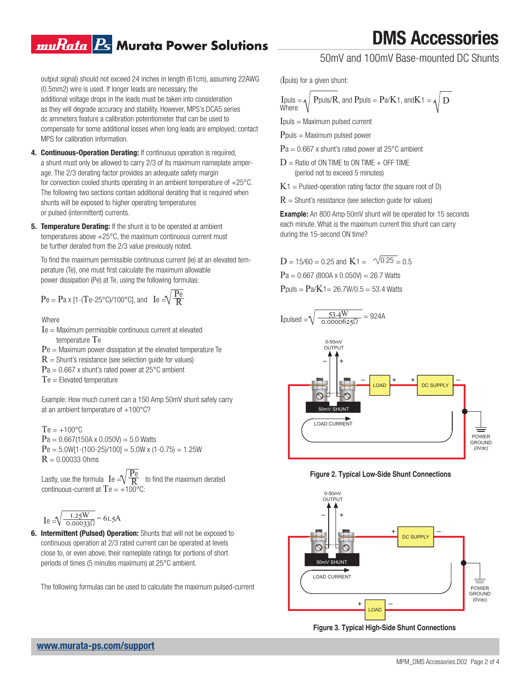### muRata <mark>Ps</mark> Murata Power Solutions

output signal) should not exceed 24 inches in length (61cm), assuming 22AWG (0.5mm2) wire is used. If longer leads are necessary, the additional voltage drops in the leads must be taken into consideration as they will degrade accuracy and stability. However, MPS's DCA5 series dc ammeters feature a calibration potentiometer that can be used to compensate for some additional losses when long leads are employed; contact MPS for calibration information.

- 4. Continuous-Operation Derating: If continuous operation is required, a shunt must only be allowed to carry 2/3 of its maximum nameplate amperage. The 2/3 derating factor provides an adequate safety margin for convection cooled shunts operating in an ambient temperature of +25°C. The following two sections contain additional derating that is required when shunts will be exposed to higher operating temperatures or pulsed (intermittent) currents.
- **5. Temperature Derating:** If the shunt is to be operated at ambient temperatures above +25°C, the maximum continuous current must be further derated from the 2/3 value previously noted.

power dissipation (Pe) at Te, using the following formulas: perature (Te), one must first calculate the maximum allowable  $P_{\text{A}}$  and  $P_{\text{B}}$  and  $P_{\text{B}}$  and  $P_{\text{B}}$  and  $P_{\text{B}}$  and  $P_{\text{B}}$  and  $P_{\text{B}}$  and  $P_{\text{B}}$  and  $P_{\text{B}}$  and  $P_{\text{B}}$  and  $P_{\text{B}}$  and  $P_{\text$ To find the maximum permissible continuous current (Ie) at an elevated tem-

$$
Pe = Pa \times [1-(Te-25^{\circ}C)/100^{\circ}C], \text{ and } Ie = \sqrt{\frac{Pe}{R}}
$$

#### **Where**

- **1 2** whore<br>Ie = Maximum permissible continuous current at elevated temperature Te
	- $Pe =$  Maximum power dissipation at the elevated temperature Te
	- $R =$  Shunt's resistance (see selection quide for values)
	- $Pa = 0.667$  x shunt's rated power at 25°C ambient

 $Te = E$ levated temperature

Example: How much current can a 150 Amp 50mV shunt safely carry at an ambient temperature of  $+100^{\circ}$ C?

 $Te = +100^{\circ}C$  $Pa = 0.667(150A \times 0.050V) = 5.0$  Watts  $Pe = 5.0W[1-(100-25)/100] = 5.0W \times (1-0.75) = 1.25W$  $R = 0.00033$  Ohms

Lastly, use the formula  $\mathrm{Ie} = \sqrt{\frac{\mathrm{Pe}}{\mathrm{R}}}$  to find the maximum derated continuous-current at  $Te = +100^{\circ}C$ : R

$$
Ie = \sqrt{\frac{1.25W}{0.00033\Omega}} = 61.5A
$$

6. Intermittent (Pulsed) Operation: Shunts that will not be exposed to continuous operation at 2/3 rated current can be operated at levels close to, or even above, their nameplate ratings for portions of short periods of times (5 minutes maximum) at 25°C ambient.

The following formulas can be used to calculate the maximum pulsed-current

# DMS Accessories

50mV and 100mV Base-mounted DC Shunts

(Ipuls) for a given shunt:

$$
I \text{puls} = \sqrt{P \text{puls/R, and } P \text{puls}} = Pa/K1, \text{ and } K1 = \sqrt{D}
$$

 $I$ puls = Maximum pulsed current

 $P_{\text{puls}} =$  Maximum pulsed power

- $Pa = 0.667$  x shunt's rated power at 25 $^{\circ}$ C ambient
- $D =$  Ratio of ON TIME to ON TIME  $+$  OFF TIME (period not to exceed 5 minutes)
- $K1$  = Pulsed-operation rating factor (the square root of D)
- $R =$  Shunt's resistance (see selection quide for values)

**Example:** An 800 Amp 50mV shunt will be operated for 15 seconds each minute. What is the maximum current this shunt can carry during the 15-second ON time?

 $D = 15/60 = 0.25$  and  $K1 = \sqrt{0.25} = 0.5$  $Pa = 0.667$  (800A x 0.050V) = 26.7 Watts  $P_{\text{puls}} = P_{a}/K_1 = 26.7 W/0.5 = 53.4 Watts$ 

$$
I \text{pulsed} = \sqrt{\frac{53.4 \text{W}}{0.0000625 \Omega}} = 924 \text{A}
$$



**Figure 2. Typical Low-Side Shunt Connections**



**Figure 3. Typical High-Side Shunt Connections**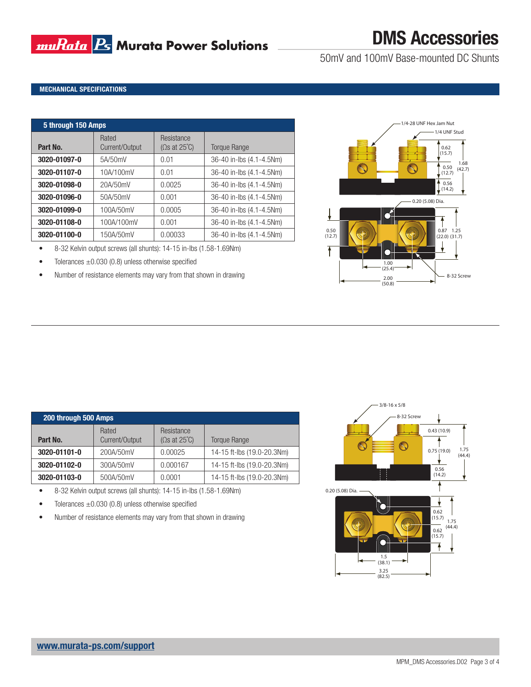## **muRata B** Murata Power Solutions

# DMS Accessories

50mV and 100mV Base-mounted DC Shunts

### MECHANICAL SPECIFICATIONS

| 5 through 150 Amps |                         |                                             |                          |  |  |
|--------------------|-------------------------|---------------------------------------------|--------------------------|--|--|
| Part No.           | Rated<br>Current/Output | Resistance<br>(Omegas at 25 <sup>°</sup> C) | <b>Torque Range</b>      |  |  |
| 3020-01097-0       | 5A/50mV                 | 0.01                                        | 36-40 in-lbs (4.1-4.5Nm) |  |  |
| 3020-01107-0       | 10A/100mV               | 0.01                                        | 36-40 in-lbs (4.1-4.5Nm) |  |  |
| 3020-01098-0       | 20A/50mV                | 0.0025                                      | 36-40 in-lbs (4.1-4.5Nm) |  |  |
| 3020-01096-0       | 50A/50mV                | 0.001                                       | 36-40 in-lbs (4.1-4.5Nm) |  |  |
| 3020-01099-0       | 100A/50mV               | 0.0005                                      | 36-40 in-lbs (4.1-4.5Nm) |  |  |
| 3020-01108-0       | 100A/100mV              | 0.001                                       | 36-40 in-lbs (4.1-4.5Nm) |  |  |
| 3020-01100-0       | 150A/50mV               | 0.00033                                     | 36-40 in-lbs (4.1-4.5Nm) |  |  |

• 8-32 Kelvin output screws (all shunts): 14-15 in-lbs (1.58-1.69Nm)

• Tolerances  $\pm 0.030$  (0.8) unless otherwise specified

• Number of resistance elements may vary from that shown in drawing



| 200 through 500 Amps |                         |                                                           |                            |  |  |
|----------------------|-------------------------|-----------------------------------------------------------|----------------------------|--|--|
| Part No.             | Rated<br>Current/Output | Resistance<br>$(\Omega s \text{ at } 25^{\circ}\text{C})$ | <b>Torque Range</b>        |  |  |
| 3020-01101-0         | 200A/50mV               | 0.00025                                                   | 14-15 ft-lbs (19.0-20.3Nm) |  |  |
| 3020-01102-0         | 300A/50mV               | 0.000167                                                  | 14-15 ft-lbs (19.0-20.3Nm) |  |  |
| 3020-01103-0         | 500A/50mV               | 0.0001                                                    | 14-15 ft-lbs (19.0-20.3Nm) |  |  |

- 8-32 Kelvin output screws (all shunts): 14-15 in-lbs (1.58-1.69Nm)
- Tolerances  $\pm 0.030$  (0.8) unless otherwise specified
- Number of resistance elements may vary from that shown in drawing